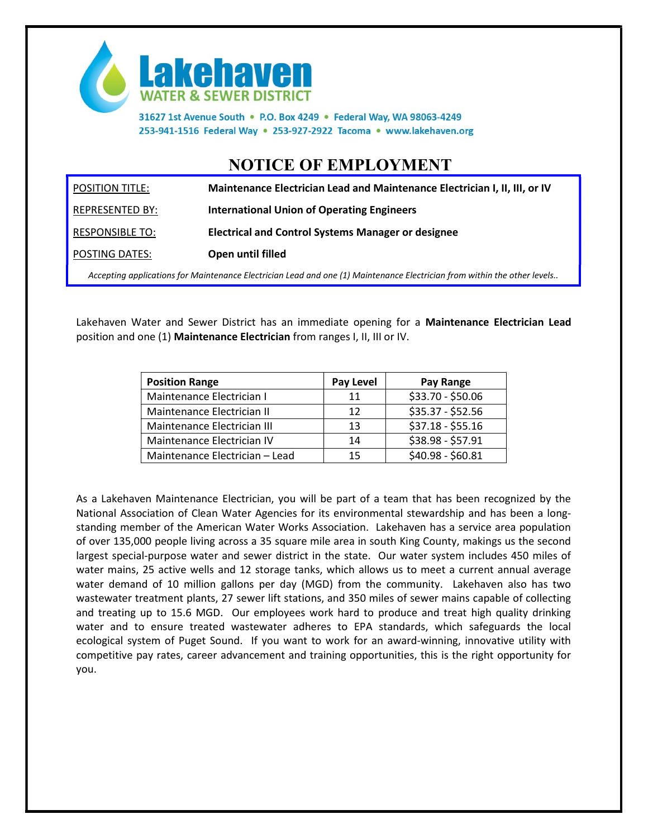

31627 1st Avenue South . P.O. Box 4249 . Federal Way, WA 98063-4249 253-941-1516 Federal Way . 253-927-2922 Tacoma . www.lakehaven.org

## NOTICE OF EMPLOYMENT

| <b>POSITION TITLE:</b> | Maintenance Electrician Lead and Maintenance Electrician I, II, III, or IV |
|------------------------|----------------------------------------------------------------------------|
| REPRESENTED BY:        | International Union of Operating Engineers                                 |
| RESPONSIBLE TO:        | <b>Electrical and Control Systems Manager or designee</b>                  |
| POSTING DATES:         | Open until filled                                                          |

Accepting applications for Maintenance Electrician Lead and one (1) Maintenance Electrician from within the other levels..

Lakehaven Water and Sewer District has an immediate opening for a Maintenance Electrician Lead position and one (1) Maintenance Electrician from ranges I, II, III or IV.

| <b>Position Range</b>          | Pay Level | Pay Range         |
|--------------------------------|-----------|-------------------|
| Maintenance Electrician I      | 11        | \$33.70 - \$50.06 |
| Maintenance Electrician II     | 12        | $$35.37 - $52.56$ |
| Maintenance Electrician III    | 13        | $$37.18 - $55.16$ |
| Maintenance Electrician IV     | 14        | \$38.98 - \$57.91 |
| Maintenance Electrician - Lead | 15        | \$40.98 - \$60.81 |

As a Lakehaven Maintenance Electrician, you will be part of a team that has been recognized by the National Association of Clean Water Agencies for its environmental stewardship and has been a longstanding member of the American Water Works Association. Lakehaven has a service area population of over 135,000 people living across a 35 square mile area in south King County, makings us the second largest special-purpose water and sewer district in the state. Our water system includes 450 miles of water mains, 25 active wells and 12 storage tanks, which allows us to meet a current annual average water demand of 10 million gallons per day (MGD) from the community. Lakehaven also has two wastewater treatment plants, 27 sewer lift stations, and 350 miles of sewer mains capable of collecting and treating up to 15.6 MGD. Our employees work hard to produce and treat high quality drinking water and to ensure treated wastewater adheres to EPA standards, which safeguards the local ecological system of Puget Sound. If you want to work for an award-winning, innovative utility with competitive pay rates, career advancement and training opportunities, this is the right opportunity for you.